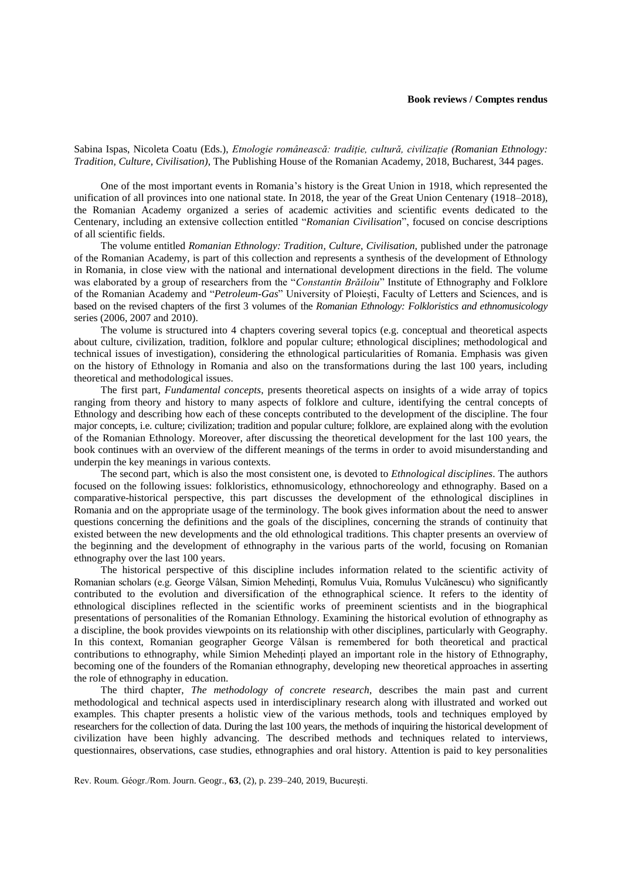Sabina Ispas, Nicoleta Coatu (Eds.), *Etnologie românească: tradiție, cultură, civilizație (Romanian Ethnology: Tradition, Culture, Civilisation)*, The Publishing House of the Romanian Academy, 2018, Bucharest, 344 pages.

One of the most important events in Romania's history is the Great Union in 1918, which represented the unification of all provinces into one national state. In 2018, the year of the Great Union Centenary (1918–2018), the Romanian Academy organized a series of academic activities and scientific events dedicated to the Centenary, including an extensive collection entitled "*Romanian Civilisation*", focused on concise descriptions of all scientific fields.

The volume entitled *Romanian Ethnology: Tradition, Culture, Civilisation*, published under the patronage of the Romanian Academy, is part of this collection and represents a synthesis of the development of Ethnology in Romania, in close view with the national and international development directions in the field. The volume was elaborated by a group of researchers from the "*Constantin Brăiloiu*" Institute of Ethnography and Folklore of the Romanian Academy and "*Petroleum-Gas*" University of Ploiești, Faculty of Letters and Sciences, and is based on the revised chapters of the first 3 volumes of the *Romanian Ethnology: Folkloristics and ethnomusicology* series (2006, 2007 and 2010).

The volume is structured into 4 chapters covering several topics (e.g. conceptual and theoretical aspects about culture, civilization, tradition, folklore and popular culture; ethnological disciplines; methodological and technical issues of investigation), considering the ethnological particularities of Romania. Emphasis was given on the history of Ethnology in Romania and also on the transformations during the last 100 years, including theoretical and methodological issues.

The first part, *Fundamental concepts*, presents theoretical aspects on insights of a wide array of topics ranging from theory and history to many aspects of folklore and culture, identifying the central concepts of Ethnology and describing how each of these concepts contributed to the development of the discipline. The four major concepts, i.e. culture; civilization; tradition and popular culture; folklore, are explained along with the evolution of the Romanian Ethnology. Moreover, after discussing the theoretical development for the last 100 years, the book continues with an overview of the different meanings of the terms in order to avoid misunderstanding and underpin the key meanings in various contexts.

The second part, which is also the most consistent one, is devoted to *Ethnological disciplines*. The authors focused on the following issues: folkloristics, ethnomusicology, ethnochoreology and ethnography. Based on a comparative-historical perspective, this part discusses the development of the ethnological disciplines in Romania and on the appropriate usage of the terminology. The book gives information about the need to answer questions concerning the definitions and the goals of the disciplines, concerning the strands of continuity that existed between the new developments and the old ethnological traditions. This chapter presents an overview of the beginning and the development of ethnography in the various parts of the world, focusing on Romanian ethnography over the last 100 years.

The historical perspective of this discipline includes information related to the scientific activity of Romanian scholars (e.g. George Vâlsan, Simion Mehedinți, Romulus Vuia, Romulus Vulcănescu) who significantly contributed to the evolution and diversification of the ethnographical science. It refers to the identity of ethnological disciplines reflected in the scientific works of preeminent scientists and in the biographical presentations of personalities of the Romanian Ethnology. Examining the historical evolution of ethnography as a discipline, the book provides viewpoints on its relationship with other disciplines, particularly with Geography. In this context, Romanian geographer George Vâlsan is remembered for both theoretical and practical contributions to ethnography, while Simion Mehedinți played an important role in the history of Ethnography, becoming one of the founders of the Romanian ethnography, developing new theoretical approaches in asserting the role of ethnography in education.

The third chapter, *The methodology of concrete research*, describes the main past and current methodological and technical aspects used in interdisciplinary research along with illustrated and worked out examples. This chapter presents a holistic view of the various methods, tools and techniques employed by researchers for the collection of data. During the last 100 years, the methods of inquiring the historical development of civilization have been highly advancing. The described methods and techniques related to interviews, questionnaires, observations, case studies, ethnographies and oral history. Attention is paid to key personalities

Rev. Roum. Géogr./Rom. Journ. Geogr., **63**, (2), p. 239–240, 2019, Bucureşti.